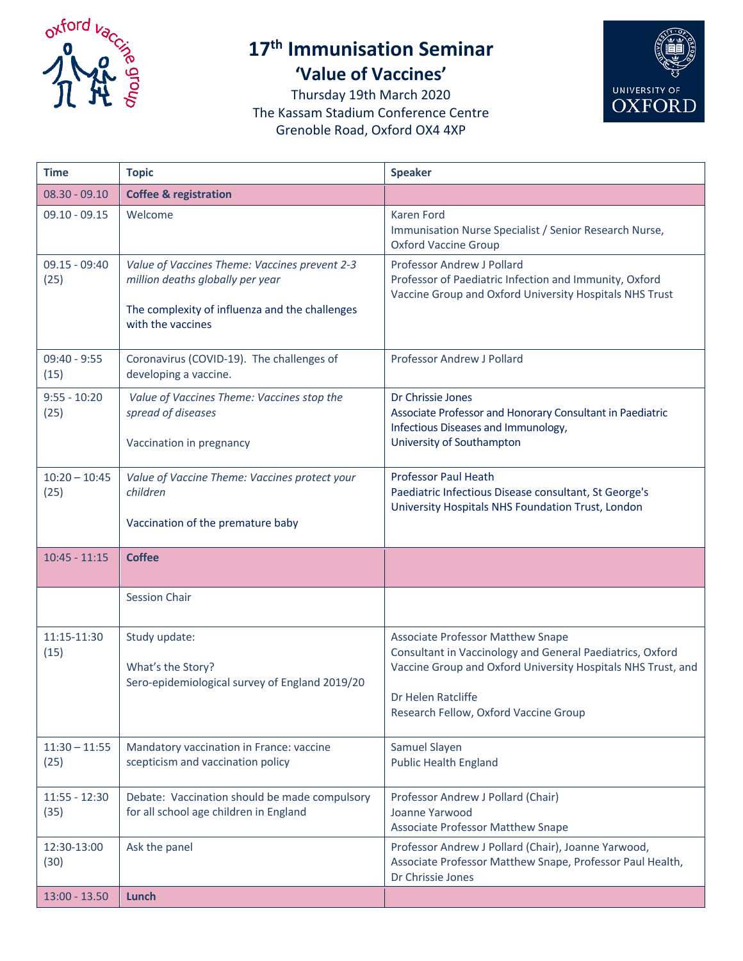

## **17th Immunisation Seminar 'Value of Vaccines'**



Thursday 19th March 2020 The Kassam Stadium Conference Centre Grenoble Road, Oxford OX4 4XP

| <b>Time</b>             | <b>Topic</b>                                                                                                                                             | <b>Speaker</b>                                                                                                                                                                                                                       |
|-------------------------|----------------------------------------------------------------------------------------------------------------------------------------------------------|--------------------------------------------------------------------------------------------------------------------------------------------------------------------------------------------------------------------------------------|
| $08.30 - 09.10$         | <b>Coffee &amp; registration</b>                                                                                                                         |                                                                                                                                                                                                                                      |
| $09.10 - 09.15$         | Welcome                                                                                                                                                  | <b>Karen Ford</b><br>Immunisation Nurse Specialist / Senior Research Nurse,<br><b>Oxford Vaccine Group</b>                                                                                                                           |
| $09.15 - 09:40$<br>(25) | Value of Vaccines Theme: Vaccines prevent 2-3<br>million deaths globally per year<br>The complexity of influenza and the challenges<br>with the vaccines | <b>Professor Andrew J Pollard</b><br>Professor of Paediatric Infection and Immunity, Oxford<br>Vaccine Group and Oxford University Hospitals NHS Trust                                                                               |
| $09:40 - 9:55$<br>(15)  | Coronavirus (COVID-19). The challenges of<br>developing a vaccine.                                                                                       | Professor Andrew J Pollard                                                                                                                                                                                                           |
| $9:55 - 10:20$<br>(25)  | Value of Vaccines Theme: Vaccines stop the<br>spread of diseases<br>Vaccination in pregnancy                                                             | Dr Chrissie Jones<br>Associate Professor and Honorary Consultant in Paediatric<br>Infectious Diseases and Immunology,<br>University of Southampton                                                                                   |
| $10:20 - 10:45$<br>(25) | Value of Vaccine Theme: Vaccines protect your<br>children<br>Vaccination of the premature baby                                                           | <b>Professor Paul Heath</b><br>Paediatric Infectious Disease consultant, St George's<br>University Hospitals NHS Foundation Trust, London                                                                                            |
| $10:45 - 11:15$         | <b>Coffee</b>                                                                                                                                            |                                                                                                                                                                                                                                      |
|                         | <b>Session Chair</b>                                                                                                                                     |                                                                                                                                                                                                                                      |
| 11:15-11:30<br>(15)     | Study update:<br>What's the Story?<br>Sero-epidemiological survey of England 2019/20                                                                     | <b>Associate Professor Matthew Snape</b><br>Consultant in Vaccinology and General Paediatrics, Oxford<br>Vaccine Group and Oxford University Hospitals NHS Trust, and<br>Dr Helen Ratcliffe<br>Research Fellow, Oxford Vaccine Group |
| $11:30 - 11:55$<br>(25) | Mandatory vaccination in France: vaccine<br>scepticism and vaccination policy                                                                            | Samuel Slayen<br><b>Public Health England</b>                                                                                                                                                                                        |
| $11:55 - 12:30$<br>(35) | Debate: Vaccination should be made compulsory<br>for all school age children in England                                                                  | Professor Andrew J Pollard (Chair)<br>Joanne Yarwood<br><b>Associate Professor Matthew Snape</b>                                                                                                                                     |
| 12:30-13:00<br>(30)     | Ask the panel                                                                                                                                            | Professor Andrew J Pollard (Chair), Joanne Yarwood,<br>Associate Professor Matthew Snape, Professor Paul Health,<br>Dr Chrissie Jones                                                                                                |
| $13:00 - 13.50$         | Lunch                                                                                                                                                    |                                                                                                                                                                                                                                      |